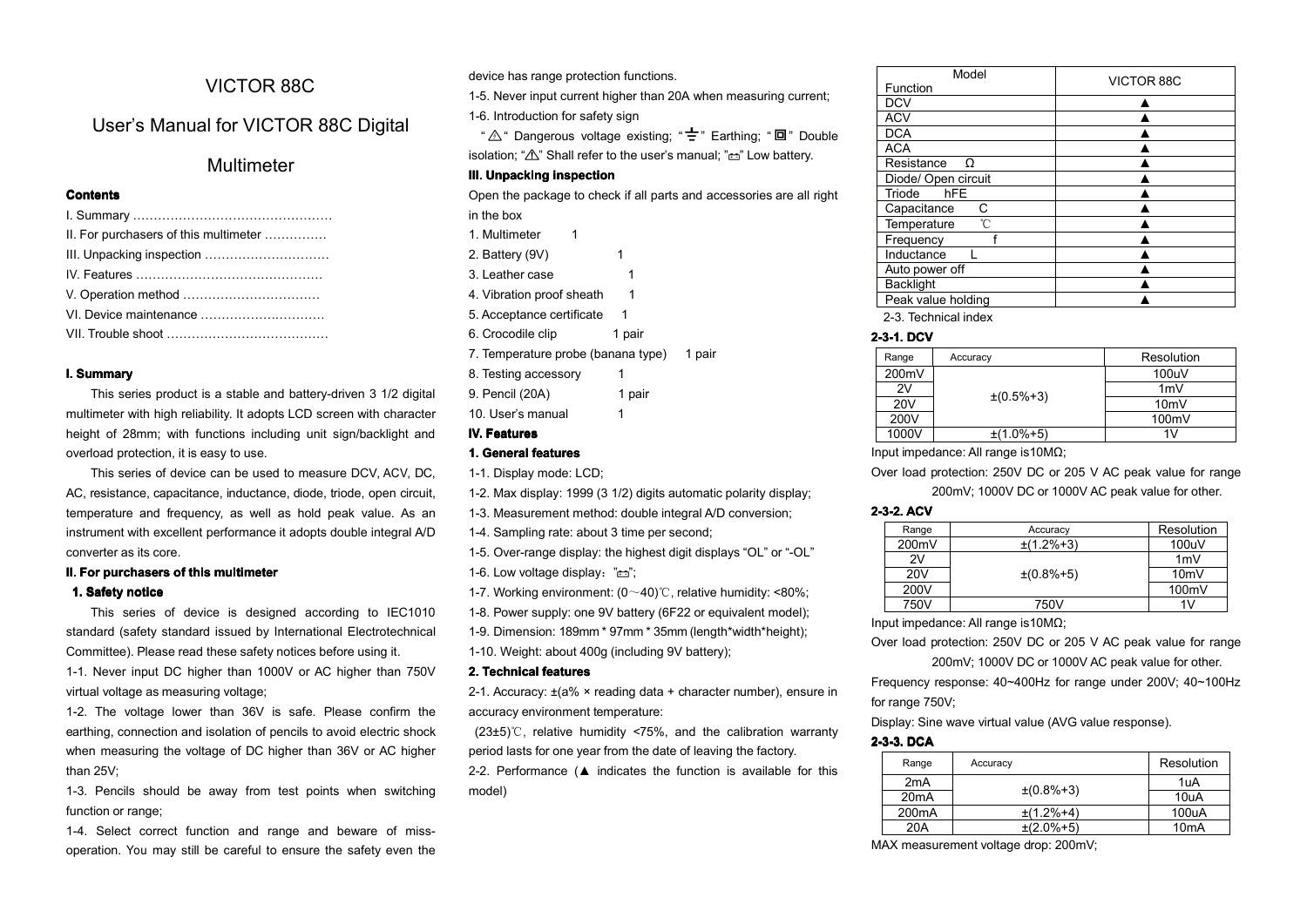# VICTOR 88C

# User's Manual for VICTOR 88C Digital

# Multimeter

# **Contents**

| II. For purchasers of this multimeter |
|---------------------------------------|
|                                       |
|                                       |
|                                       |
|                                       |
|                                       |
|                                       |

### **I.** Summary

This series product is <sup>a</sup> stable and battery-driven 3 1/2 digital multimeter with high reliability. It adopts LCD screen with character height of 28mm; with functions including unit sign/backlight and overload protection, it is easy to use.

This series of device can be used to measure DCV, ACV, DC, AC, resistance, capacitance, inductance, diode, triode, open circuit, temperature and frequency, as well as hold peak value. As an instrument with excellent performance it adopts double integral A/D converter as its core.

### **II. For purchasers purchasers of**

### **1. Safety notice**

This series of device is designed according to IEC1010 standard (safety standard issued by International Electrotechnical Committee). Please read these safety notices before using it.

1-1. Never input DC higher than 1000V or AC higher than 750V virtual voltage as measuring voltage;

1-2. The voltage lower than 36V is safe. Please confirm the earthing, connection and isolation of pencils to avoid electric shock when measuring the voltage of DC higher than 36V or AC higher than 25V;

1-3. Pencils should be away from test points when switching function or range;

1-4. Select correct function and range and beware of missoperation. You may still be careful to ensure the safety even the

### **III. Unpacking Unpacking inspection inspection**

- 8. Testing accessory 1
- 9. Pencil (20A) 1 pair

## **IV. Features**

### **1. General features**

1-6. Low voltage display:  $" \rightleftarrows"$ ;

1-7. Working environment: (0~40)℃, relative humidity: <80%;

1-8. Power supply: one 9V battery (6F22 or equivalent model);

1-9. Dimension: 189mm \* 97mm \* 35mm (length\*width\*height);

1-10. Weight: about 400g (including 9V battery);

#### **2. Technical Technical features features**

2-1. Accuracy: ±(a% <sup>×</sup> reading data <sup>+</sup> character number), ensure in accuracy environment temperature:

(23±5)℃, relative humidity <75%, and the calibration warranty period lasts for one year from the date of leaving the factory.

2-2. Performance (▲ indicates the function is available for this model)

| Sevice has range protection functions.<br>The Mever input current higher than 20A when measuring current:<br>uency, as well as hold peak value. As an 1-3. Measurement method: double integral A/D conversion;<br>Int performance it adopts double integral A/D 1-4. Sampling rate: about 3 time per second;<br>1-5. Over-range display: the high |  |  |  |
|---------------------------------------------------------------------------------------------------------------------------------------------------------------------------------------------------------------------------------------------------------------------------------------------------------------------------------------------------|--|--|--|

### **2-3-1. DCV**

| Range           | Accuracy         | Resolution |
|-----------------|------------------|------------|
| 200mV           |                  | 100uV      |
| 2V              | $\pm(0.5\% + 3)$ | 1mV        |
| 20 <sub>V</sub> |                  | 10mV       |
| 200V            |                  | 100mV      |
| 1000V           | $±(1.0\%+5)$     | 1 V        |

#### **2-3-2. ACV**

| Range           | Accuracy         | Resolution      |
|-----------------|------------------|-----------------|
| 200mV           | $\pm(1.2\% + 3)$ | 100uV           |
| 2V              |                  | 1mV             |
| 20 <sub>V</sub> | $±(0.8\%+5)$     | 10 <sub>m</sub> |
| 200V            |                  | 100mV           |
| 750V            | 750V             | 1V              |

Input impedance: All range is10MΩ;

Over load protection: 250V DC or 205 V AC peak value for range 200mV: 1000V DC or 1000V AC peak value for other.

Frequency response: 40~400Hz for range under 200V; 40~100Hz for range 750V;

Display: Sine wave virtual value (AVG value response).

# **2-3-3. DCA**

| Range              | Accuracy         | Resolution        |
|--------------------|------------------|-------------------|
| 2mA                | $\pm(0.8\% + 3)$ | 1uA               |
| 20mA               |                  | 10uA              |
| 200 <sub>m</sub> A | $\pm$ (1.2%+4)   | 100uA             |
| 20A                | $\pm(2.0\% + 5)$ | 10 <sub>m</sub> A |

MAX measurement voltage drop: 200mV;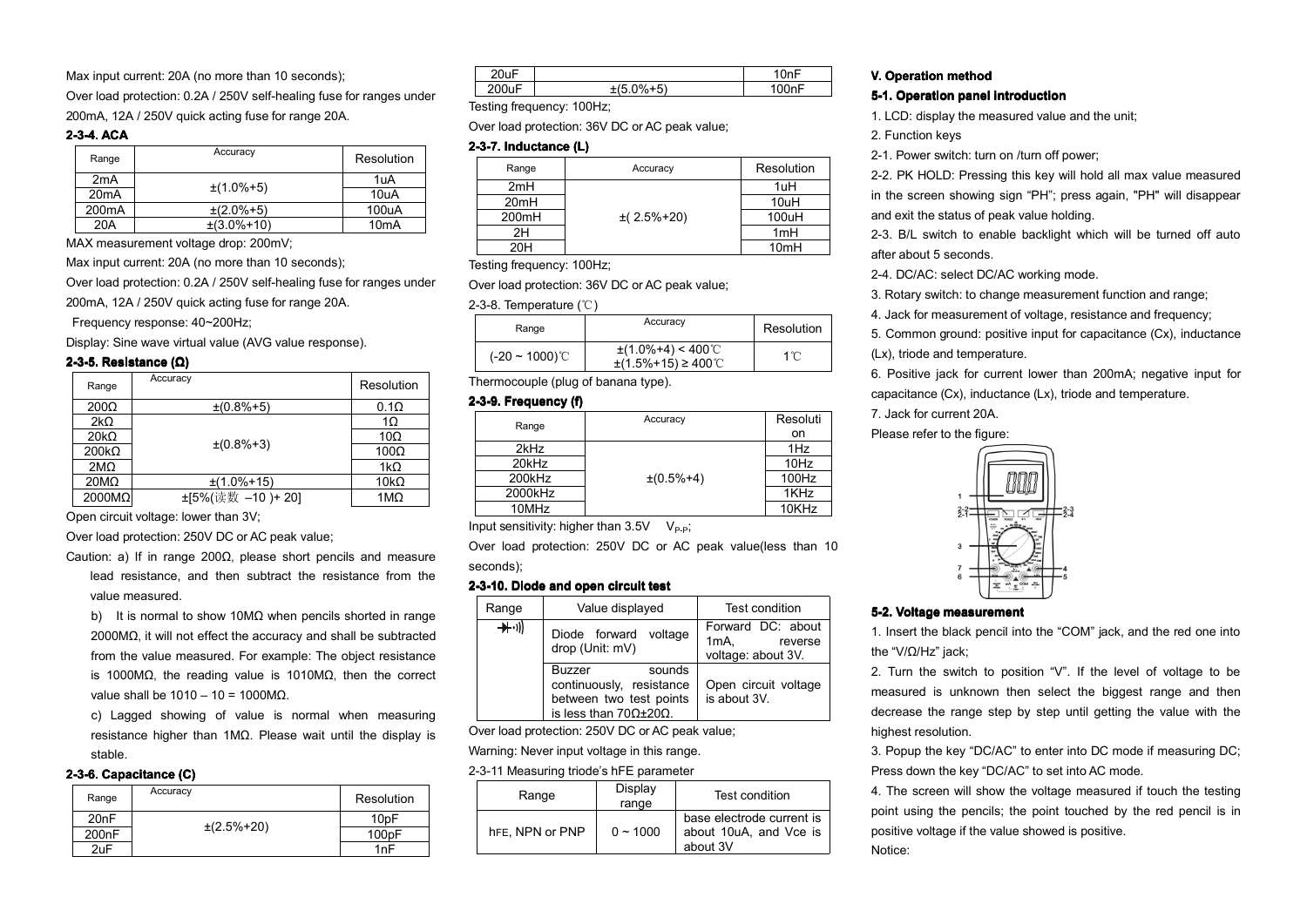Max input current: 20A (no more than 10 seconds);

Over load protection: 0.2A / 250V self-healing fuse for ranges under 200mA, 12A / 250V quick acting fuse for range 20A.

## **2-3-4. ACA**

| Range              | Accuracy          | Resolution        |
|--------------------|-------------------|-------------------|
| 2 <sub>m</sub> A   | $±(1.0\%+5)$      | 1uA               |
| 20mA               |                   | 10uA              |
| 200 <sub>m</sub> A | $\pm (2.0\% + 5)$ | 100uA             |
| 20A                | $±(3.0\%+10)$     | 10 <sub>m</sub> A |

MAX measurement voltage drop: 200mV;

Max input current: 20A (no more than 10 seconds);

Over load protection: 0.2A / 250V self-healing fuse for ranges under

200mA, 12A / 250V quick acting fuse for range 20A.

Frequency response: 40~200Hz;

Display: Sine wave virtual value (AVG value response).

# **2-3-5. Resistance ( Ω )**

| Range           | Accuracy         | Resolution   |
|-----------------|------------------|--------------|
| $200\Omega$     | $\pm(0.8\% + 5)$ | $0.1\Omega$  |
| $2k\Omega$      |                  | 1Ω           |
| $20k\Omega$     | $\pm(0.8\% + 3)$ | 10 $\Omega$  |
| $200k\Omega$    |                  | $100\Omega$  |
| 2M <sub>Ω</sub> |                  | 1k $\Omega$  |
| $20M\Omega$     | $±(1.0\%+15)$    | 10 $k\Omega$ |
| $2000M\Omega$   | ±[5%(读数 -10)+20] | 1ΜΩ          |

Open circuit voltage: lower than 3V;

Over load protection: 250V DC or AC peak value;

Caution: a) If in range 200Ω, please short pencils and measure lead resistance, and then subtract the resistance from the value measured.

b) It is normal to show 10MΩ when pencils shorted in range 2000MΩ, it will not effect the accuracy and shall be subtracted from the value measured. For example: The object resistance is 1000MΩ, the reading value is 1010MΩ, then the correct value shall be  $1010 - 10 = 1000MΩ$ .

c) Lagged showing of value is normal when measuring resistance higher than 1MΩ. Please wait until the display is stable.

# **2-3-6. Capacitance Capacitance (C)**

| Range              | Accuracy           | Resolution        |
|--------------------|--------------------|-------------------|
| 20nF               |                    | 10 <sub>pF</sub>  |
| 200 <sub>n</sub> F | $\pm (2.5\% + 20)$ | 100 <sub>pF</sub> |
| 2uF                |                    | 1nF               |

|  | $\overline{\phantom{a}}$<br>- - - | - |
|--|-----------------------------------|---|
|  |                                   |   |

Testing frequency: 100Hz;

Over load protection: 36V DC or AC peak value;

# **2-3-7. Inductance (L)**

| Range            | Accuracy      | Resolution       |
|------------------|---------------|------------------|
| 2mH              |               | 1uH              |
| 20 <sub>mH</sub> |               | 10uH             |
| 200mH            | $±(2.5\%+20)$ | 100uH            |
| 2H               |               | 1 <sub>mH</sub>  |
| 20H              |               | 10 <sub>mH</sub> |

Testing frequency: 100Hz;

Over load protection: 36V DC or AC peak value;

#### 2-3-8. Temperature (℃)

| Range             | Accuracy                                      | Resolution |
|-------------------|-----------------------------------------------|------------|
| $(-20 - 1000)$ °C | $\pm$ (1.0%+4) < 400°C<br>±(1.5%+15) ≥ 400 °C | 1°C        |

Thermocouple (plug of banana type).

# **2-3-9. Frequency (f)**

| Range   | Accuracy         | Resoluti |
|---------|------------------|----------|
|         |                  | on       |
| 2kHz    |                  | 1Hz      |
| 20kHz   |                  | 10Hz     |
| 200kHz  | $\pm(0.5\% + 4)$ | 100Hz    |
| 2000kHz |                  | 1KHz     |
| 10MHz   |                  | 10KHz    |

Input sensitivity: higher than  $3.5V$  V<sub>P-P</sub>;

Over load protection: 250V DC or AC peak value(less than 10 seconds);

# **2-3-10. 2-3-10. Diode and open circuit circuit test**

|  | Range       | Value displayed                                                                                            | Test condition                                             |  |  |
|--|-------------|------------------------------------------------------------------------------------------------------------|------------------------------------------------------------|--|--|
|  | $+\cdot$ )) | Diode forward<br>voltage<br>drop (Unit: mV)                                                                | Forward DC: about<br>1mA,<br>reverse<br>voltage: about 3V. |  |  |
|  |             | sounds<br><b>Buzzer</b><br>continuously, resistance<br>between two test points<br>is less than $70Ω±20Ω$ . | Open circuit voltage<br>is about 3V.                       |  |  |

Over load protection: 250V DC or AC peak value;

Warning: Never input voltage in this range.

# 2-3-11 Measuring triode's hFE parameter

| Range           | Display<br>range | Test condition                                                  |
|-----------------|------------------|-----------------------------------------------------------------|
| hFE, NPN or PNP | $0 - 1000$       | base electrode current is<br>about 10uA, and Vce is<br>about 3V |

# **V. Operation Operation method**

# **5-1. Operation panel introduction**

1. LCD: display the measured value and the unit;

2. Function keys

2-1. Power switch: turn on /turn off power;

2-2. PK HOLD: Pressing this key will hold all max value measured in the screen showing sign "PH"; press again, "PH" will disappear and exit the status of peak value holding.

2-3. B/L switch to enable backlight which will be turned off auto after about 5 seconds.

2-4. DC/AC: select DC/AC working mode.

3. Rotary switch: to change measurement function and range;

4. Jack for measurement of voltage, resistance and frequency;

5. Common ground: positive input for capacitance (Cx), inductance

(Lx), triode and temperature.

6. Positive jack for current lower than 200mA; negative input for capacitance (Cx), inductance (Lx), triode and temperature.

7. Jack for current 20A.

Please refer to the figure:



# **5-2. Voltage measurement**

1. Insert the black pencil into the "COM" jack, and the red one into the "V/Ω/Hz" jack;

2. Turn the switch to position "V". If the level of voltage to be measured is unknown then select the biggest range and then decrease the range step by step until getting the value with the highest resolution.

3. Popup the key "DC/AC" to enter into DC mode if measuring DC; Press down the key "DC/AC" to set into AC mode.

4. The screen will show the voltage measured if touch the testing point using the pencils; the point touched by the red pencil is in positive voltage if the value showed is positive.

Notice: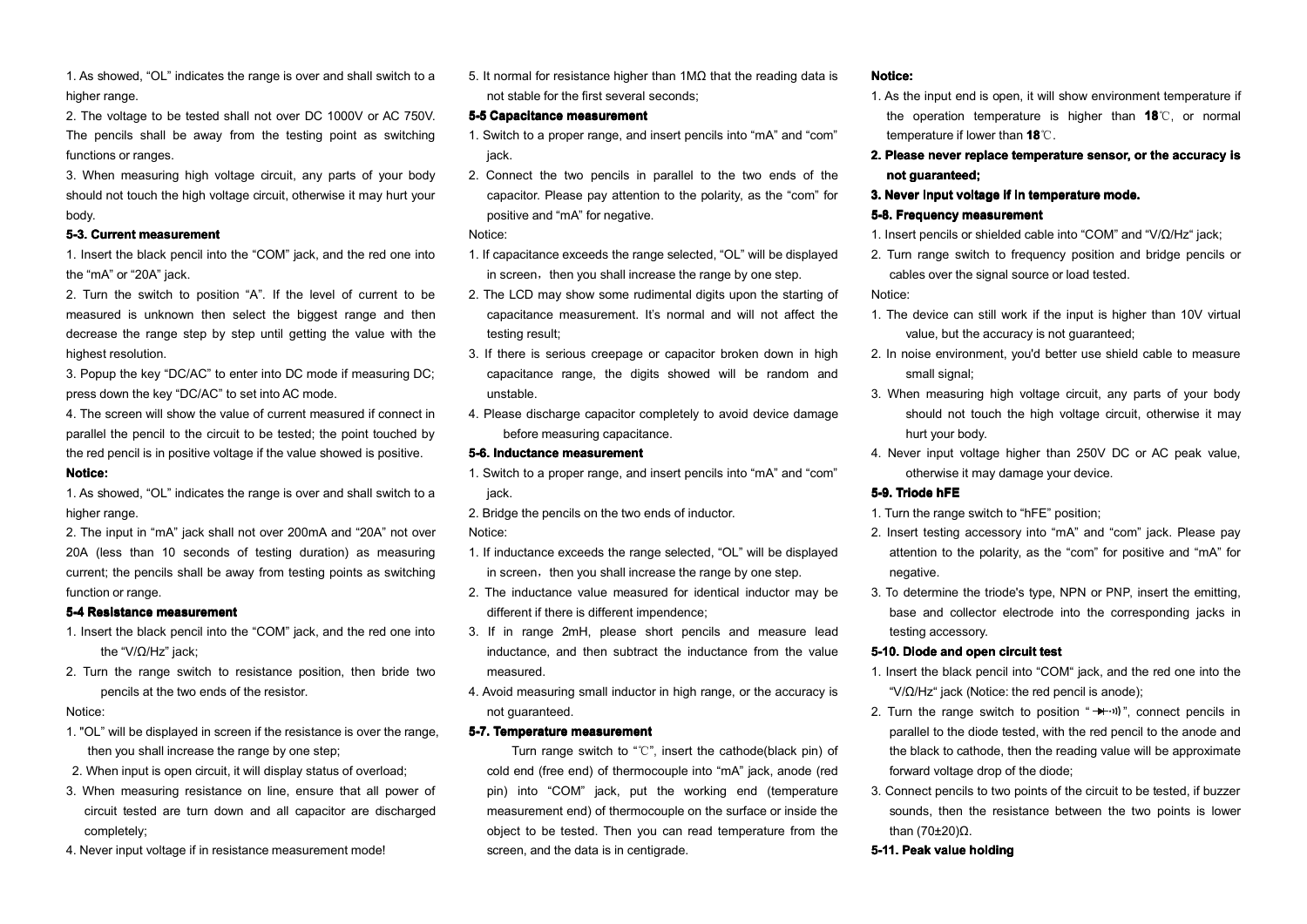1. As showed, "OL" indicates the range is over and shall switch to a higher range.

2. The voltage to be tested shall not over DC 1000V or AC 750V. The pencils shall be away from the testing point as switching functions or ranges.

3. When measuring high voltage circuit, anyparts of your body should not touch the high voltage circuit, otherwise it may hurt your body.

#### **5-3. Current measurement**

1. Insert the black pencil into the "COM" jack, and the red one into the "mA" or "20A" jack.

2. Turn the switch to position "A". If the level of current to be measured is unknown then select the biggest range and then decrease the range step by step until getting the value with the highest resolution.

3. Popup the key "DC/AC" to enter into DC mode if measuring DC: press down the key "DC/AC" to set into AC mode.

4. The screen will show the value of current measured if connect in parallel the pencil to the circuit to be tested; the point touched by the red pencil is in positive voltage if the value showed is positive.

#### **Notice: Notice:**

1. As showed, "OL" indicates the range is over and shall switch to a higher range.

2. The input in "mA" jack shall not over 200mA and "20A" not over 20A (less than 10 seconds of testing duration) as measuring current; the pencils shall be away from testing points as switching function or range.

#### **5-4 Resistance measurement**

- 1. Insert the black pencil into the "COM" jack, and the red one into the "V/Ω/Hz" jack;
- 2. Turn the range switch to resistance position, then bride two pencils at the two ends of the resistor.

#### Notice:

- 1. "OL" will be displayed in screen if the resistance is over the range, then you shall increase the range by one step;
- 2. When input is open circuit, it will display status of overload;
- 3. When measuring resistance on line, ensure that all power of circuit tested are turn down and all capacitor are discharged completely;
- 4. Never input voltage if in resistance measurement mode!

5. It normal for resistance higher than 1MΩ that the reading data is not stable for the first several seconds;

#### **5-5 Capacitance measurement**

- 1. Switch to <sup>a</sup> proper range, and insert pencils into "mA" and "com" jack.
- 2. Connect the two pencils in parallel to the two ends of the capacitor. Please pay attention to the polarity, as the "com" for positive and "mA" for negative.

### Notice:

- 1. If capacitance exceeds the range selected, "OL" will be displayed in screen, then you shall increase the range by one step.
- 2. The LCD may show some rudimental digits upon the starting of capacitance measurement. It's normal and will not affect the testing result;
- 3. If there is serious creepage or capacitor broken down in high capacitance range, the digits showed will be random and unstable.
- 4. Please discharge capacitor completely to avoid device damage before measuring capacitance.

#### **5-6. Inductance measurement**

- 1. Switch to <sup>a</sup> proper range, and insert pencils into "mA" and "com" jack.
- 2. Bridge the pencils on the two ends of inductor. Notice:
- 1. If inductance exceeds the range selected, "OL" will be displayed in screen, then you shall increase the range by one step.
- 2. The inductance value measured for identical inductor may be different if there is different impendence;
- 3. If in range 2mH, please short pencils and measure lead inductance, and then subtract the inductance from the value measured.
- 4. Avoid measuring small inductor in high range, or the accuracy is not guaranteed.

#### **5-7. Temperature Temperature measurement**

Turn range switch to "℃", insert the cathode(black pin) of cold end (free end) of thermocouple into "mA" jack, anode (red pin) into "COM" jack, put the working end (temperature measurement end) of thermocouple on the surface or inside the object to be tested. Then you can read temperature from the screen, and the data is in centigrade.

# **Notice: Notice:**

- 1. As the input end is open, it will show environment temperature if the operation temperature is higher than **18** ℃, or normal temperature if lower than **18** ℃.
- **2. Please never replace temperature sensor, or the accuracy is not guaranteed; guaranteed;**
- **3. Never input voltage voltage if in temperature temperature mode.**

#### **5-8. Frequency measurement**

- 1. Insert pencils or shielded cable into "COM" and "V/Ω/Hz" jack;
- 2. Turn range switch to frequency position and bridge pencils or cables over the signal source or load tested.

# Notice:

- 1. The device can still work if the input is higher than 10V virtual value, but the accuracy is not guaranteed;
- 2. In noise environment, you'd better use shield cable to measure small signal:
- 3. When measuring high voltage circuit, any parts of your body should not touch the high voltage circuit, otherwise it may hurt your body.
- 4. Never input voltage higher than 250V DC or AC peak value, otherwise it may damage your device.

#### **5-9. Triode hFE**

- 1. Turn the range switch to "hFE" position;
- 2. Insert testing accessory into "mA" and"com" jack. Please pay attention to the polarity, as the "com" for positive and "mA" for negative.
- 3. To determine the triode's type, NPN or PNP, insert the emitting, base and collector electrode into the corresponding jacks in testing accessory.

#### **5-10. Diode and open circuit test**

- 1. Insert the black pencil into "COM" jack, and the red one into the " $V/\Omega$ /Hz" jack (Notice: the red pencil is anode):
- 2. Turn the range switch to position " $+$ ")", connect pencils in parallel to the diode tested, with the red pencil to the anode and the black to cathode, then the reading value will be approximate forward voltage drop of the diode; **e:**<br> **e:**<br> **Peak value of the school of the school of the school of the school of the school of the school of the school of the school of parameters of guaranteed;<br>
<b>Peak value of the school of the school of the school of**
- 3. Connect pencils to two points of the circuit to be tested, if buzzer sounds, then the resistance between the two points is lower than (70±20)Ω.

#### **5-11. holding**